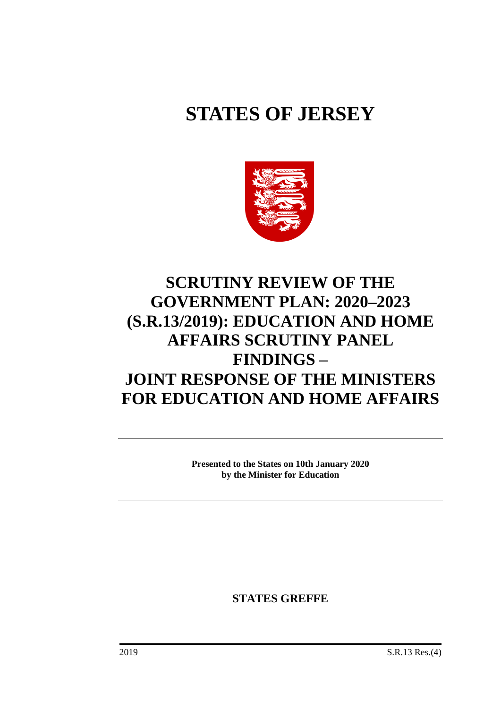# **STATES OF JERSEY**



# **SCRUTINY REVIEW OF THE GOVERNMENT PLAN: 2020–2023 (S.R.13/2019): EDUCATION AND HOME AFFAIRS SCRUTINY PANEL FINDINGS – JOINT RESPONSE OF THE MINISTERS FOR EDUCATION AND HOME AFFAIRS**

**Presented to the States on 10th January 2020 by the Minister for Education**

**STATES GREFFE**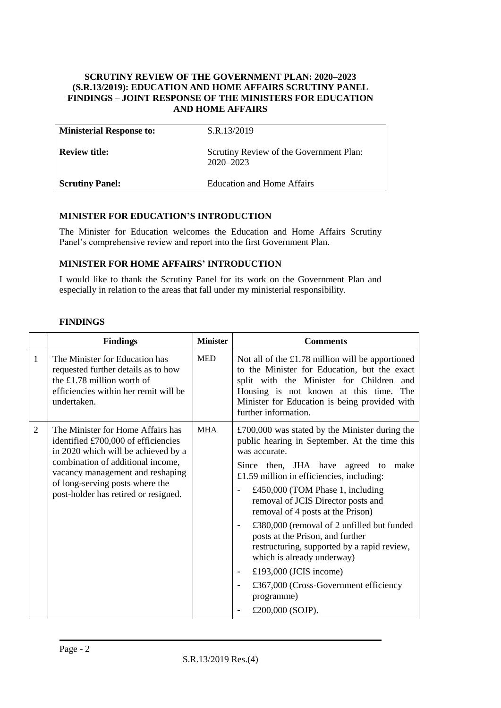#### **SCRUTINY REVIEW OF THE GOVERNMENT PLAN: 2020–2023 (S.R.13/2019): EDUCATION AND HOME AFFAIRS SCRUTINY PANEL FINDINGS – JOINT RESPONSE OF THE MINISTERS FOR EDUCATION AND HOME AFFAIRS**

| <b>Ministerial Response to:</b> | S.R.13/2019                                              |
|---------------------------------|----------------------------------------------------------|
| <b>Review title:</b>            | Scrutiny Review of the Government Plan:<br>$2020 - 2023$ |
| <b>Scrutiny Panel:</b>          | <b>Education and Home Affairs</b>                        |

#### **MINISTER FOR EDUCATION'S INTRODUCTION**

The Minister for Education welcomes the Education and Home Affairs Scrutiny Panel's comprehensive review and report into the first Government Plan.

#### **MINISTER FOR HOME AFFAIRS' INTRODUCTION**

I would like to thank the Scrutiny Panel for its work on the Government Plan and especially in relation to the areas that fall under my ministerial responsibility.

| <b>FINDINGS</b> |
|-----------------|
|-----------------|

|                | <b>Findings</b>                                                                                                                                                                                                                                                     | <b>Minister</b> | <b>Comments</b>                                                                                                                                                                                                                                                                                                                                                                                                                                                                                                                                                                                                                                                             |
|----------------|---------------------------------------------------------------------------------------------------------------------------------------------------------------------------------------------------------------------------------------------------------------------|-----------------|-----------------------------------------------------------------------------------------------------------------------------------------------------------------------------------------------------------------------------------------------------------------------------------------------------------------------------------------------------------------------------------------------------------------------------------------------------------------------------------------------------------------------------------------------------------------------------------------------------------------------------------------------------------------------------|
| 1              | The Minister for Education has<br>requested further details as to how<br>the £1.78 million worth of<br>efficiencies within her remit will be<br>undertaken.                                                                                                         | <b>MED</b>      | Not all of the $£1.78$ million will be apportioned<br>to the Minister for Education, but the exact<br>split with the Minister for Children and<br>Housing is not known at this time. The<br>Minister for Education is being provided with<br>further information.                                                                                                                                                                                                                                                                                                                                                                                                           |
| $\overline{2}$ | The Minister for Home Affairs has<br>identified £700,000 of efficiencies<br>in 2020 which will be achieved by a<br>combination of additional income,<br>vacancy management and reshaping<br>of long-serving posts where the<br>post-holder has retired or resigned. | <b>MHA</b>      | $£700,000$ was stated by the Minister during the<br>public hearing in September. At the time this<br>was accurate.<br>Since then, JHA have agreed to<br>make<br>£1.59 million in efficiencies, including:<br>£450,000 (TOM Phase 1, including<br>-<br>removal of JCIS Director posts and<br>removal of 4 posts at the Prison)<br>£380,000 (removal of 2 unfilled but funded<br>$\overline{\phantom{a}}$<br>posts at the Prison, and further<br>restructuring, supported by a rapid review,<br>which is already underway)<br>£193,000 (JCIS income)<br>$\overline{\phantom{a}}$<br>£367,000 (Cross-Government efficiency<br>$\blacksquare$<br>programme)<br>£200,000 (SOJP). |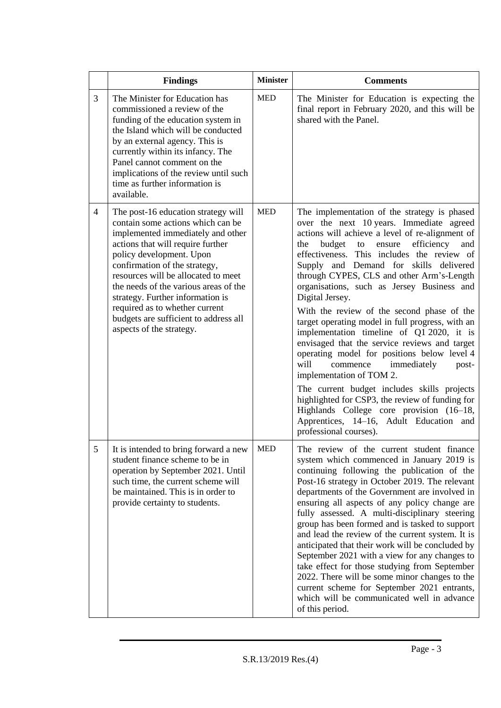|                | <b>Findings</b>                                                                                                                                                                                                                                                                                                                                                                                                                            | <b>Minister</b> | <b>Comments</b>                                                                                                                                                                                                                                                                                                                                                                                                                                                                                                                                                                                                                                                                                                                                                                                                                                                                                                                                   |
|----------------|--------------------------------------------------------------------------------------------------------------------------------------------------------------------------------------------------------------------------------------------------------------------------------------------------------------------------------------------------------------------------------------------------------------------------------------------|-----------------|---------------------------------------------------------------------------------------------------------------------------------------------------------------------------------------------------------------------------------------------------------------------------------------------------------------------------------------------------------------------------------------------------------------------------------------------------------------------------------------------------------------------------------------------------------------------------------------------------------------------------------------------------------------------------------------------------------------------------------------------------------------------------------------------------------------------------------------------------------------------------------------------------------------------------------------------------|
| 3              | The Minister for Education has<br>commissioned a review of the<br>funding of the education system in<br>the Island which will be conducted<br>by an external agency. This is<br>currently within its infancy. The<br>Panel cannot comment on the<br>implications of the review until such<br>time as further information is<br>available.                                                                                                  | <b>MED</b>      | The Minister for Education is expecting the<br>final report in February 2020, and this will be<br>shared with the Panel.                                                                                                                                                                                                                                                                                                                                                                                                                                                                                                                                                                                                                                                                                                                                                                                                                          |
| 4              | The post-16 education strategy will<br>contain some actions which can be<br>implemented immediately and other<br>actions that will require further<br>policy development. Upon<br>confirmation of the strategy,<br>resources will be allocated to meet<br>the needs of the various areas of the<br>strategy. Further information is<br>required as to whether current<br>budgets are sufficient to address all<br>aspects of the strategy. | <b>MED</b>      | The implementation of the strategy is phased<br>over the next 10 years. Immediate agreed<br>actions will achieve a level of re-alignment of<br>efficiency<br>budget<br>the<br>ensure<br>and<br>to<br>effectiveness. This includes the review of<br>Supply and Demand for skills delivered<br>through CYPES, CLS and other Arm's-Length<br>organisations, such as Jersey Business and<br>Digital Jersey.<br>With the review of the second phase of the<br>target operating model in full progress, with an<br>implementation timeline of Q1 2020, it is<br>envisaged that the service reviews and target<br>operating model for positions below level 4<br>will<br>commence<br>immediately<br>post-<br>implementation of TOM 2.<br>The current budget includes skills projects<br>highlighted for CSP3, the review of funding for<br>Highlands College core provision (16–18,<br>Apprentices, 14–16, Adult Education and<br>professional courses). |
| 5 <sup>5</sup> | It is intended to bring forward a new<br>student finance scheme to be in<br>operation by September 2021. Until<br>such time, the current scheme will<br>be maintained. This is in order to<br>provide certainty to students.                                                                                                                                                                                                               | <b>MED</b>      | The review of the current student finance<br>system which commenced in January 2019 is<br>continuing following the publication of the<br>Post-16 strategy in October 2019. The relevant<br>departments of the Government are involved in<br>ensuring all aspects of any policy change are<br>fully assessed. A multi-disciplinary steering<br>group has been formed and is tasked to support<br>and lead the review of the current system. It is<br>anticipated that their work will be concluded by<br>September 2021 with a view for any changes to<br>take effect for those studying from September<br>2022. There will be some minor changes to the<br>current scheme for September 2021 entrants,<br>which will be communicated well in advance<br>of this period.                                                                                                                                                                           |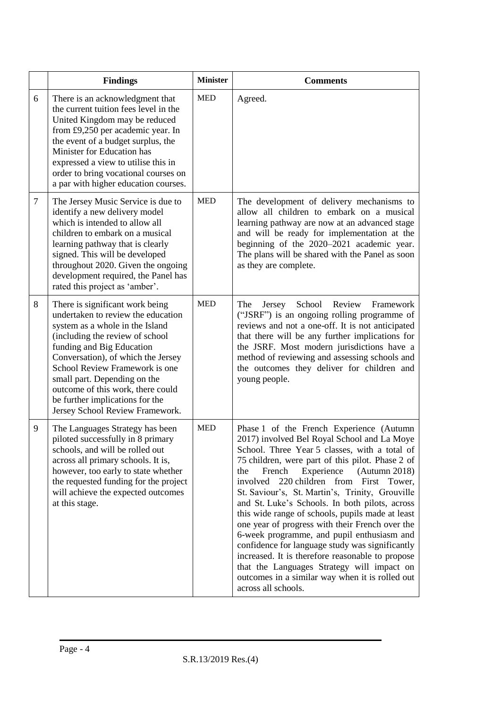|   | <b>Findings</b>                                                                                                                                                                                                                                                                                                                                                                             | <b>Minister</b> | <b>Comments</b>                                                                                                                                                                                                                                                                                                                                                                                                                                                                                                                                                                                                                                                                                                                                                                     |
|---|---------------------------------------------------------------------------------------------------------------------------------------------------------------------------------------------------------------------------------------------------------------------------------------------------------------------------------------------------------------------------------------------|-----------------|-------------------------------------------------------------------------------------------------------------------------------------------------------------------------------------------------------------------------------------------------------------------------------------------------------------------------------------------------------------------------------------------------------------------------------------------------------------------------------------------------------------------------------------------------------------------------------------------------------------------------------------------------------------------------------------------------------------------------------------------------------------------------------------|
| 6 | There is an acknowledgment that<br>the current tuition fees level in the<br>United Kingdom may be reduced<br>from £9,250 per academic year. In<br>the event of a budget surplus, the<br>Minister for Education has<br>expressed a view to utilise this in<br>order to bring vocational courses on<br>a par with higher education courses.                                                   | <b>MED</b>      | Agreed.                                                                                                                                                                                                                                                                                                                                                                                                                                                                                                                                                                                                                                                                                                                                                                             |
| 7 | The Jersey Music Service is due to<br>identify a new delivery model<br>which is intended to allow all<br>children to embark on a musical<br>learning pathway that is clearly<br>signed. This will be developed<br>throughout 2020. Given the ongoing<br>development required, the Panel has<br>rated this project as 'amber'.                                                               | <b>MED</b>      | The development of delivery mechanisms to<br>allow all children to embark on a musical<br>learning pathway are now at an advanced stage<br>and will be ready for implementation at the<br>beginning of the 2020-2021 academic year.<br>The plans will be shared with the Panel as soon<br>as they are complete.                                                                                                                                                                                                                                                                                                                                                                                                                                                                     |
| 8 | There is significant work being<br>undertaken to review the education<br>system as a whole in the Island<br>(including the review of school<br>funding and Big Education<br>Conversation), of which the Jersey<br>School Review Framework is one<br>small part. Depending on the<br>outcome of this work, there could<br>be further implications for the<br>Jersey School Review Framework. | <b>MED</b>      | School<br>Review<br>Framework<br>The<br>Jersey<br>("JSRF") is an ongoing rolling programme of<br>reviews and not a one-off. It is not anticipated<br>that there will be any further implications for<br>the JSRF. Most modern jurisdictions have a<br>method of reviewing and assessing schools and<br>the outcomes they deliver for children and<br>young people.                                                                                                                                                                                                                                                                                                                                                                                                                  |
| 9 | The Languages Strategy has been<br>piloted successfully in 8 primary<br>schools, and will be rolled out<br>across all primary schools. It is,<br>however, too early to state whether<br>the requested funding for the project<br>will achieve the expected outcomes<br>at this stage.                                                                                                       | <b>MED</b>      | Phase 1 of the French Experience (Autumn<br>2017) involved Bel Royal School and La Moye<br>School. Three Year 5 classes, with a total of<br>75 children, were part of this pilot. Phase 2 of<br>Experience<br>the<br>French<br>(Autumn 2018)<br>involved<br>220 children from First Tower,<br>St. Saviour's, St. Martin's, Trinity, Grouville<br>and St. Luke's Schools. In both pilots, across<br>this wide range of schools, pupils made at least<br>one year of progress with their French over the<br>6-week programme, and pupil enthusiasm and<br>confidence for language study was significantly<br>increased. It is therefore reasonable to propose<br>that the Languages Strategy will impact on<br>outcomes in a similar way when it is rolled out<br>across all schools. |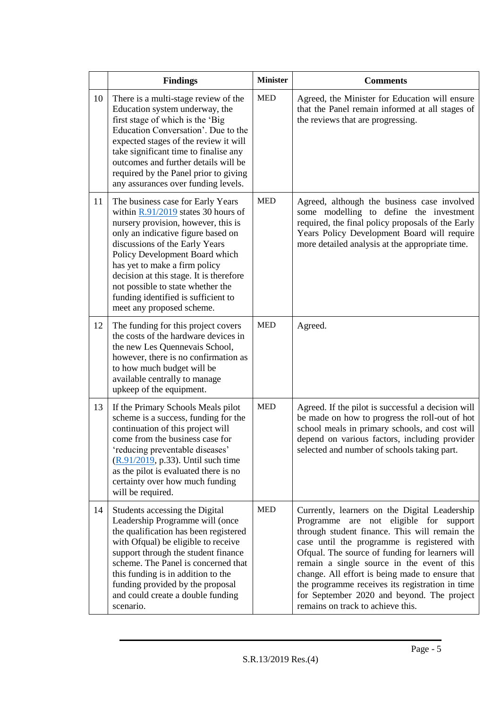|    | <b>Findings</b>                                                                                                                                                                                                                                                                                                                                                                                                  | <b>Minister</b> | <b>Comments</b>                                                                                                                                                                                                                                                                                                                                                                                                                                                                       |
|----|------------------------------------------------------------------------------------------------------------------------------------------------------------------------------------------------------------------------------------------------------------------------------------------------------------------------------------------------------------------------------------------------------------------|-----------------|---------------------------------------------------------------------------------------------------------------------------------------------------------------------------------------------------------------------------------------------------------------------------------------------------------------------------------------------------------------------------------------------------------------------------------------------------------------------------------------|
| 10 | There is a multi-stage review of the<br>Education system underway, the<br>first stage of which is the 'Big<br>Education Conversation'. Due to the<br>expected stages of the review it will<br>take significant time to finalise any<br>outcomes and further details will be<br>required by the Panel prior to giving<br>any assurances over funding levels.                                                      | <b>MED</b>      | Agreed, the Minister for Education will ensure<br>that the Panel remain informed at all stages of<br>the reviews that are progressing.                                                                                                                                                                                                                                                                                                                                                |
| 11 | The business case for Early Years<br>within $R.91/2019$ states 30 hours of<br>nursery provision, however, this is<br>only an indicative figure based on<br>discussions of the Early Years<br>Policy Development Board which<br>has yet to make a firm policy<br>decision at this stage. It is therefore<br>not possible to state whether the<br>funding identified is sufficient to<br>meet any proposed scheme. | <b>MED</b>      | Agreed, although the business case involved<br>some modelling to define the investment<br>required, the final policy proposals of the Early<br>Years Policy Development Board will require<br>more detailed analysis at the appropriate time.                                                                                                                                                                                                                                         |
| 12 | The funding for this project covers<br>the costs of the hardware devices in<br>the new Les Quennevais School,<br>however, there is no confirmation as<br>to how much budget will be<br>available centrally to manage<br>upkeep of the equipment.                                                                                                                                                                 | <b>MED</b>      | Agreed.                                                                                                                                                                                                                                                                                                                                                                                                                                                                               |
| 13 | If the Primary Schools Meals pilot<br>scheme is a success, funding for the<br>continuation of this project will<br>come from the business case for<br>reducing preventable diseases <sup>-</sup><br>$(R.91/2019, p.33)$ . Until such time<br>as the pilot is evaluated there is no<br>certainty over how much funding<br>will be required.                                                                       | <b>MED</b>      | Agreed. If the pilot is successful a decision will<br>be made on how to progress the roll-out of hot<br>school meals in primary schools, and cost will<br>depend on various factors, including provider<br>selected and number of schools taking part.                                                                                                                                                                                                                                |
| 14 | Students accessing the Digital<br>Leadership Programme will (once<br>the qualification has been registered<br>with Ofqual) be eligible to receive<br>support through the student finance<br>scheme. The Panel is concerned that<br>this funding is in addition to the<br>funding provided by the proposal<br>and could create a double funding<br>scenario.                                                      | <b>MED</b>      | Currently, learners on the Digital Leadership<br>Programme are not eligible for<br>support<br>through student finance. This will remain the<br>case until the programme is registered with<br>Ofqual. The source of funding for learners will<br>remain a single source in the event of this<br>change. All effort is being made to ensure that<br>the programme receives its registration in time<br>for September 2020 and beyond. The project<br>remains on track to achieve this. |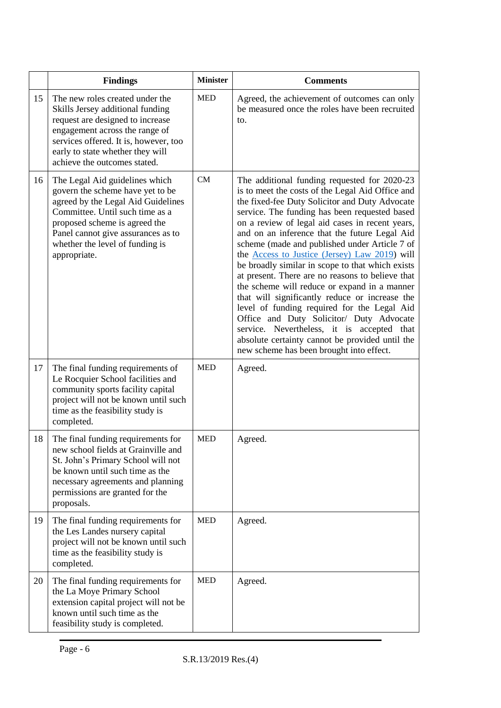|    | <b>Findings</b>                                                                                                                                                                                                                                                       | <b>Minister</b> | <b>Comments</b>                                                                                                                                                                                                                                                                                                                                                                                                                                                                                                                                                                                                                                                                                                                                                                                                                                                    |
|----|-----------------------------------------------------------------------------------------------------------------------------------------------------------------------------------------------------------------------------------------------------------------------|-----------------|--------------------------------------------------------------------------------------------------------------------------------------------------------------------------------------------------------------------------------------------------------------------------------------------------------------------------------------------------------------------------------------------------------------------------------------------------------------------------------------------------------------------------------------------------------------------------------------------------------------------------------------------------------------------------------------------------------------------------------------------------------------------------------------------------------------------------------------------------------------------|
| 15 | The new roles created under the<br>Skills Jersey additional funding<br>request are designed to increase<br>engagement across the range of<br>services offered. It is, however, too<br>early to state whether they will<br>achieve the outcomes stated.                | <b>MED</b>      | Agreed, the achievement of outcomes can only<br>be measured once the roles have been recruited<br>to.                                                                                                                                                                                                                                                                                                                                                                                                                                                                                                                                                                                                                                                                                                                                                              |
| 16 | The Legal Aid guidelines which<br>govern the scheme have yet to be<br>agreed by the Legal Aid Guidelines<br>Committee. Until such time as a<br>proposed scheme is agreed the<br>Panel cannot give assurances as to<br>whether the level of funding is<br>appropriate. | <b>CM</b>       | The additional funding requested for 2020-23<br>is to meet the costs of the Legal Aid Office and<br>the fixed-fee Duty Solicitor and Duty Advocate<br>service. The funding has been requested based<br>on a review of legal aid cases in recent years,<br>and on an inference that the future Legal Aid<br>scheme (made and published under Article 7 of<br>the <b>Access to Justice (Jersey)</b> Law 2019) will<br>be broadly similar in scope to that which exists<br>at present. There are no reasons to believe that<br>the scheme will reduce or expand in a manner<br>that will significantly reduce or increase the<br>level of funding required for the Legal Aid<br>Office and Duty Solicitor/ Duty Advocate<br>service. Nevertheless, it is accepted that<br>absolute certainty cannot be provided until the<br>new scheme has been brought into effect. |
| 17 | The final funding requirements of<br>Le Rocquier School facilities and<br>community sports facility capital<br>project will not be known until such<br>time as the feasibility study is<br>completed.                                                                 | <b>MED</b>      | Agreed.                                                                                                                                                                                                                                                                                                                                                                                                                                                                                                                                                                                                                                                                                                                                                                                                                                                            |
| 18 | The final funding requirements for<br>new school fields at Grainville and<br>St. John's Primary School will not<br>be known until such time as the<br>necessary agreements and planning<br>permissions are granted for the<br>proposals.                              | <b>MED</b>      | Agreed.                                                                                                                                                                                                                                                                                                                                                                                                                                                                                                                                                                                                                                                                                                                                                                                                                                                            |
| 19 | The final funding requirements for<br>the Les Landes nursery capital<br>project will not be known until such<br>time as the feasibility study is<br>completed.                                                                                                        | <b>MED</b>      | Agreed.                                                                                                                                                                                                                                                                                                                                                                                                                                                                                                                                                                                                                                                                                                                                                                                                                                                            |
| 20 | The final funding requirements for<br>the La Moye Primary School<br>extension capital project will not be<br>known until such time as the<br>feasibility study is completed.                                                                                          | <b>MED</b>      | Agreed.                                                                                                                                                                                                                                                                                                                                                                                                                                                                                                                                                                                                                                                                                                                                                                                                                                                            |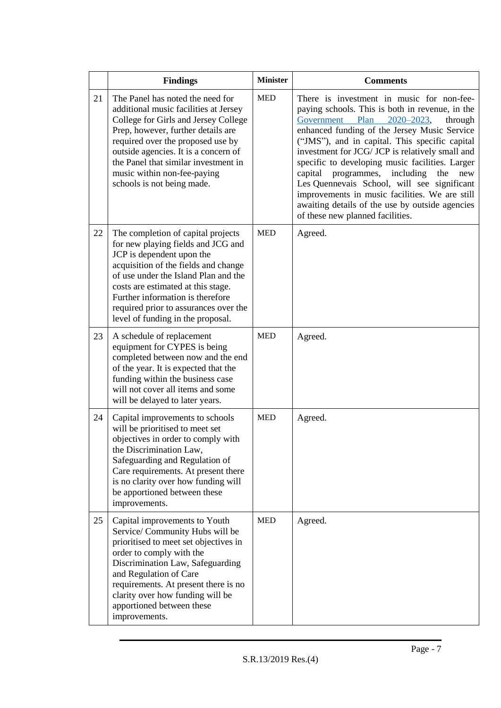|    | <b>Findings</b>                                                                                                                                                                                                                                                                                                                               | <b>Minister</b> | <b>Comments</b>                                                                                                                                                                                                                                                                                                                                                                                                                                                                                                                                                                                    |
|----|-----------------------------------------------------------------------------------------------------------------------------------------------------------------------------------------------------------------------------------------------------------------------------------------------------------------------------------------------|-----------------|----------------------------------------------------------------------------------------------------------------------------------------------------------------------------------------------------------------------------------------------------------------------------------------------------------------------------------------------------------------------------------------------------------------------------------------------------------------------------------------------------------------------------------------------------------------------------------------------------|
| 21 | The Panel has noted the need for<br>additional music facilities at Jersey<br>College for Girls and Jersey College<br>Prep, however, further details are<br>required over the proposed use by<br>outside agencies. It is a concern of<br>the Panel that similar investment in<br>music within non-fee-paying<br>schools is not being made.     | <b>MED</b>      | There is investment in music for non-fee-<br>paying schools. This is both in revenue, in the<br>$2020 - 2023$ ,<br>Government Plan<br>through<br>enhanced funding of the Jersey Music Service<br>("JMS"), and in capital. This specific capital<br>investment for JCG/ JCP is relatively small and<br>specific to developing music facilities. Larger<br>capital<br>programmes,<br>including<br>the<br>new<br>Les Quennevais School, will see significant<br>improvements in music facilities. We are still<br>awaiting details of the use by outside agencies<br>of these new planned facilities. |
| 22 | The completion of capital projects<br>for new playing fields and JCG and<br>JCP is dependent upon the<br>acquisition of the fields and change<br>of use under the Island Plan and the<br>costs are estimated at this stage.<br>Further information is therefore<br>required prior to assurances over the<br>level of funding in the proposal. | <b>MED</b>      | Agreed.                                                                                                                                                                                                                                                                                                                                                                                                                                                                                                                                                                                            |
| 23 | A schedule of replacement<br>equipment for CYPES is being<br>completed between now and the end<br>of the year. It is expected that the<br>funding within the business case<br>will not cover all items and some<br>will be delayed to later years.                                                                                            | <b>MED</b>      | Agreed.                                                                                                                                                                                                                                                                                                                                                                                                                                                                                                                                                                                            |
| 24 | Capital improvements to schools<br>will be prioritised to meet set<br>objectives in order to comply with<br>the Discrimination Law,<br>Safeguarding and Regulation of<br>Care requirements. At present there<br>is no clarity over how funding will<br>be apportioned between these<br>improvements.                                          | <b>MED</b>      | Agreed.                                                                                                                                                                                                                                                                                                                                                                                                                                                                                                                                                                                            |
| 25 | Capital improvements to Youth<br>Service/ Community Hubs will be<br>prioritised to meet set objectives in<br>order to comply with the<br>Discrimination Law, Safeguarding<br>and Regulation of Care<br>requirements. At present there is no<br>clarity over how funding will be<br>apportioned between these<br>improvements.                 | <b>MED</b>      | Agreed.                                                                                                                                                                                                                                                                                                                                                                                                                                                                                                                                                                                            |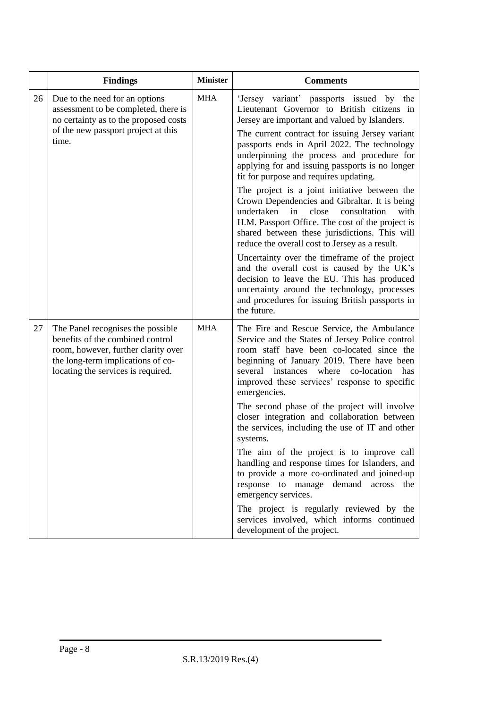|    | <b>Findings</b>                                                                                                                                                                         | <b>Minister</b> | <b>Comments</b>                                                                                                                                                                                                                                                                                            |
|----|-----------------------------------------------------------------------------------------------------------------------------------------------------------------------------------------|-----------------|------------------------------------------------------------------------------------------------------------------------------------------------------------------------------------------------------------------------------------------------------------------------------------------------------------|
| 26 | Due to the need for an options<br>assessment to be completed, there is<br>no certainty as to the proposed costs                                                                         | <b>MHA</b>      | 'Jersey variant' passports issued by the<br>Lieutenant Governor to British citizens in<br>Jersey are important and valued by Islanders.                                                                                                                                                                    |
|    | of the new passport project at this<br>time.                                                                                                                                            |                 | The current contract for issuing Jersey variant<br>passports ends in April 2022. The technology<br>underpinning the process and procedure for<br>applying for and issuing passports is no longer<br>fit for purpose and requires updating.                                                                 |
|    |                                                                                                                                                                                         |                 | The project is a joint initiative between the<br>Crown Dependencies and Gibraltar. It is being<br>undertaken<br>in<br>close<br>consultation<br>with<br>H.M. Passport Office. The cost of the project is<br>shared between these jurisdictions. This will<br>reduce the overall cost to Jersey as a result. |
|    |                                                                                                                                                                                         |                 | Uncertainty over the timeframe of the project<br>and the overall cost is caused by the UK's<br>decision to leave the EU. This has produced<br>uncertainty around the technology, processes<br>and procedures for issuing British passports in<br>the future.                                               |
| 27 | The Panel recognises the possible<br>benefits of the combined control<br>room, however, further clarity over<br>the long-term implications of co-<br>locating the services is required. | <b>MHA</b>      | The Fire and Rescue Service, the Ambulance<br>Service and the States of Jersey Police control<br>room staff have been co-located since the<br>beginning of January 2019. There have been<br>several instances where<br>co-location<br>has<br>improved these services' response to specific<br>emergencies. |
|    |                                                                                                                                                                                         |                 | The second phase of the project will involve<br>closer integration and collaboration between<br>the services, including the use of IT and other<br>systems.                                                                                                                                                |
|    |                                                                                                                                                                                         |                 | The aim of the project is to improve call<br>handling and response times for Islanders, and<br>to provide a more co-ordinated and joined-up<br>response to manage demand<br>across<br>the<br>emergency services.                                                                                           |
|    |                                                                                                                                                                                         |                 | The project is regularly reviewed by the<br>services involved, which informs continued<br>development of the project.                                                                                                                                                                                      |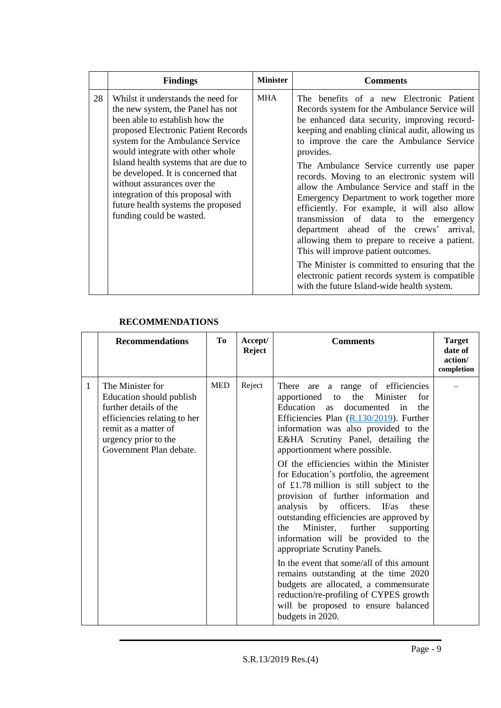|    | <b>Findings</b>                                                                                                                                                                                                                                                                                                                                                                                                                               | <b>Minister</b> | <b>Comments</b>                                                                                                                                                                                                                                                                                                                                                                                                                                                                                                                                                                                                                                                                                                                                                                                                                    |
|----|-----------------------------------------------------------------------------------------------------------------------------------------------------------------------------------------------------------------------------------------------------------------------------------------------------------------------------------------------------------------------------------------------------------------------------------------------|-----------------|------------------------------------------------------------------------------------------------------------------------------------------------------------------------------------------------------------------------------------------------------------------------------------------------------------------------------------------------------------------------------------------------------------------------------------------------------------------------------------------------------------------------------------------------------------------------------------------------------------------------------------------------------------------------------------------------------------------------------------------------------------------------------------------------------------------------------------|
| 28 | Whilst it understands the need for<br>the new system, the Panel has not<br>been able to establish how the<br>proposed Electronic Patient Records<br>system for the Ambulance Service<br>would integrate with other whole<br>Island health systems that are due to<br>be developed. It is concerned that<br>without assurances over the<br>integration of this proposal with<br>future health systems the proposed<br>funding could be wasted. | <b>MHA</b>      | The benefits of a new Electronic Patient<br>Records system for the Ambulance Service will<br>be enhanced data security, improving record-<br>keeping and enabling clinical audit, allowing us<br>to improve the care the Ambulance Service<br>provides.<br>The Ambulance Service currently use paper<br>records. Moving to an electronic system will<br>allow the Ambulance Service and staff in the<br>Emergency Department to work together more<br>efficiently. For example, it will also allow<br>transmission of data to the emergency<br>department ahead of the crews' arrival,<br>allowing them to prepare to receive a patient.<br>This will improve patient outcomes.<br>The Minister is committed to ensuring that the<br>electronic patient records system is compatible<br>with the future Island-wide health system. |

# **RECOMMENDATIONS**

|   | <b>Recommendations</b>                                                                                                                                                            | To         | Accept/<br><b>Reject</b> | <b>Comments</b>                                                                                                                                                                                                                                                                                                                                                                                                                                                                                                                                                                                                                                                                                                                                                                                                                                                                                                   | <b>Target</b><br>date of<br>action/<br>completion |
|---|-----------------------------------------------------------------------------------------------------------------------------------------------------------------------------------|------------|--------------------------|-------------------------------------------------------------------------------------------------------------------------------------------------------------------------------------------------------------------------------------------------------------------------------------------------------------------------------------------------------------------------------------------------------------------------------------------------------------------------------------------------------------------------------------------------------------------------------------------------------------------------------------------------------------------------------------------------------------------------------------------------------------------------------------------------------------------------------------------------------------------------------------------------------------------|---------------------------------------------------|
| 1 | The Minister for<br>Education should publish<br>further details of the<br>efficiencies relating to her<br>remit as a matter of<br>urgency prior to the<br>Government Plan debate. | <b>MED</b> | Reject                   | There<br>a range of efficiencies<br>are<br>apportioned to the Minister<br>for<br>Education as<br>the<br>documented<br>in<br>Efficiencies Plan $(R.130/2019)$ . Further<br>information was also provided to the<br>E&HA Scrutiny Panel, detailing the<br>apportionment where possible.<br>Of the efficiencies within the Minister<br>for Education's portfolio, the agreement<br>of £1.78 million is still subject to the<br>provision of further information and<br>officers.<br>If/as<br>analysis<br>by<br>these<br>outstanding efficiencies are approved by<br>Minister, further<br>supporting<br>the<br>information will be provided to the<br>appropriate Scrutiny Panels.<br>In the event that some/all of this amount<br>remains outstanding at the time 2020<br>budgets are allocated, a commensurate<br>reduction/re-profiling of CYPES growth<br>will be proposed to ensure balanced<br>budgets in 2020. |                                                   |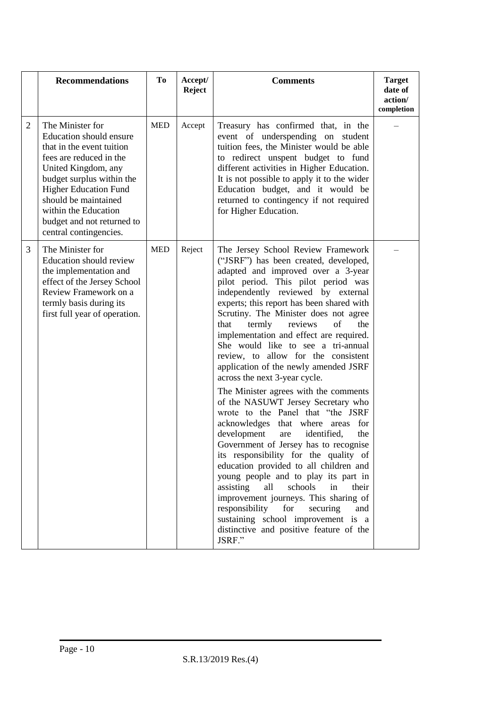|                | <b>Recommendations</b>                                                                                                                                                                                                                                                                                 | To         | Accept/<br><b>Reject</b> | <b>Comments</b>                                                                                                                                                                                                                                                                                                                                                                                                                                                                                                                                                                                                                                                                                                                                                                                                                                                                                                                                                                                                                                                                                                                            | <b>Target</b><br>date of<br>action/<br>completion |
|----------------|--------------------------------------------------------------------------------------------------------------------------------------------------------------------------------------------------------------------------------------------------------------------------------------------------------|------------|--------------------------|--------------------------------------------------------------------------------------------------------------------------------------------------------------------------------------------------------------------------------------------------------------------------------------------------------------------------------------------------------------------------------------------------------------------------------------------------------------------------------------------------------------------------------------------------------------------------------------------------------------------------------------------------------------------------------------------------------------------------------------------------------------------------------------------------------------------------------------------------------------------------------------------------------------------------------------------------------------------------------------------------------------------------------------------------------------------------------------------------------------------------------------------|---------------------------------------------------|
| $\overline{2}$ | The Minister for<br><b>Education should ensure</b><br>that in the event tuition<br>fees are reduced in the<br>United Kingdom, any<br>budget surplus within the<br><b>Higher Education Fund</b><br>should be maintained<br>within the Education<br>budget and not returned to<br>central contingencies. | <b>MED</b> | Accept                   | Treasury has confirmed that, in the<br>event of underspending on student<br>tuition fees, the Minister would be able<br>to redirect unspent budget to fund<br>different activities in Higher Education.<br>It is not possible to apply it to the wider<br>Education budget, and it would be<br>returned to contingency if not required<br>for Higher Education.                                                                                                                                                                                                                                                                                                                                                                                                                                                                                                                                                                                                                                                                                                                                                                            |                                                   |
| 3              | The Minister for<br><b>Education should review</b><br>the implementation and<br>effect of the Jersey School<br>Review Framework on a<br>termly basis during its<br>first full year of operation.                                                                                                       | <b>MED</b> | Reject                   | The Jersey School Review Framework<br>("JSRF") has been created, developed,<br>adapted and improved over a 3-year<br>pilot period. This pilot period was<br>independently reviewed by external<br>experts; this report has been shared with<br>Scrutiny. The Minister does not agree<br>termly<br>reviews<br>of<br>the<br>that<br>implementation and effect are required.<br>She would like to see a tri-annual<br>review, to allow for the consistent<br>application of the newly amended JSRF<br>across the next 3-year cycle.<br>The Minister agrees with the comments<br>of the NASUWT Jersey Secretary who<br>wrote to the Panel that "the JSRF<br>acknowledges that where areas<br>for<br>development<br>identified,<br>the<br>are<br>Government of Jersey has to recognise<br>its responsibility for the quality of<br>education provided to all children and<br>young people and to play its part in<br>assisting<br>schools<br>in<br>all<br>their<br>improvement journeys. This sharing of<br>responsibility<br>for<br>securing<br>and<br>sustaining school improvement is a<br>distinctive and positive feature of the<br>JSRF." |                                                   |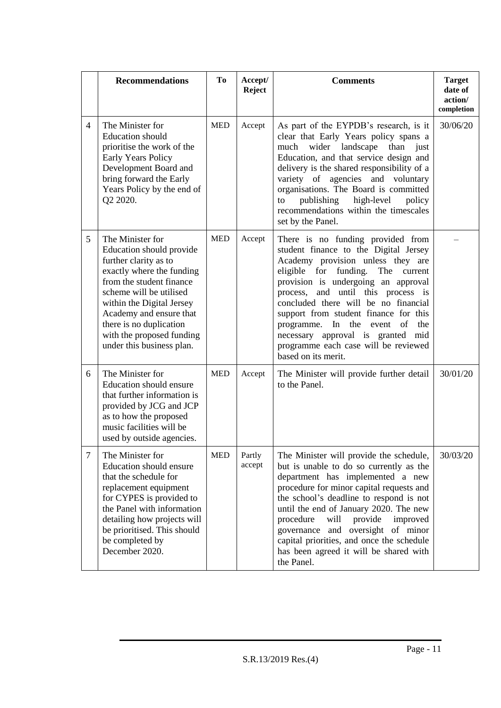|                | <b>Recommendations</b>                                                                                                                                                                                                                                                                                 | Тo         | Accept/<br><b>Reject</b> | <b>Comments</b>                                                                                                                                                                                                                                                                                                                                                                                                                                                               | <b>Target</b><br>date of<br>action/<br>completion |
|----------------|--------------------------------------------------------------------------------------------------------------------------------------------------------------------------------------------------------------------------------------------------------------------------------------------------------|------------|--------------------------|-------------------------------------------------------------------------------------------------------------------------------------------------------------------------------------------------------------------------------------------------------------------------------------------------------------------------------------------------------------------------------------------------------------------------------------------------------------------------------|---------------------------------------------------|
| $\overline{4}$ | The Minister for<br><b>Education</b> should<br>prioritise the work of the<br><b>Early Years Policy</b><br>Development Board and<br>bring forward the Early<br>Years Policy by the end of<br>Q2 2020.                                                                                                   | <b>MED</b> | Accept                   | As part of the EYPDB's research, is it<br>clear that Early Years policy spans a<br>wider<br>landscape<br>than just<br>much<br>Education, and that service design and<br>delivery is the shared responsibility of a<br>variety of agencies and voluntary<br>organisations. The Board is committed<br>publishing high-level<br>policy<br>to<br>recommendations within the timescales<br>set by the Panel.                                                                       | 30/06/20                                          |
| 5              | The Minister for<br>Education should provide<br>further clarity as to<br>exactly where the funding<br>from the student finance<br>scheme will be utilised<br>within the Digital Jersey<br>Academy and ensure that<br>there is no duplication<br>with the proposed funding<br>under this business plan. | <b>MED</b> | Accept                   | There is no funding provided from<br>student finance to the Digital Jersey<br>Academy provision unless they are<br>eligible for funding.<br>The<br>current<br>provision is undergoing an approval<br>process, and until this process is<br>concluded there will be no financial<br>support from student finance for this<br>programme.<br>In<br>the<br>of<br>the<br>event<br>necessary approval is granted mid<br>programme each case will be reviewed<br>based on its merit. |                                                   |
| 6              | The Minister for<br>Education should ensure<br>that further information is<br>provided by JCG and JCP<br>as to how the proposed<br>music facilities will be<br>used by outside agencies.                                                                                                               | <b>MED</b> | Accept                   | The Minister will provide further detail<br>to the Panel.                                                                                                                                                                                                                                                                                                                                                                                                                     | 30/01/20                                          |
| $\tau$         | The Minister for<br><b>Education should ensure</b><br>that the schedule for<br>replacement equipment<br>for CYPES is provided to<br>the Panel with information<br>detailing how projects will<br>be prioritised. This should<br>be completed by<br>December 2020.                                      | <b>MED</b> | Partly<br>accept         | The Minister will provide the schedule,<br>but is unable to do so currently as the<br>department has implemented a new<br>procedure for minor capital requests and<br>the school's deadline to respond is not<br>until the end of January 2020. The new<br>procedure<br>provide<br>improved<br>will<br>governance and oversight of minor<br>capital priorities, and once the schedule<br>has been agreed it will be shared with<br>the Panel.                                 | 30/03/20                                          |